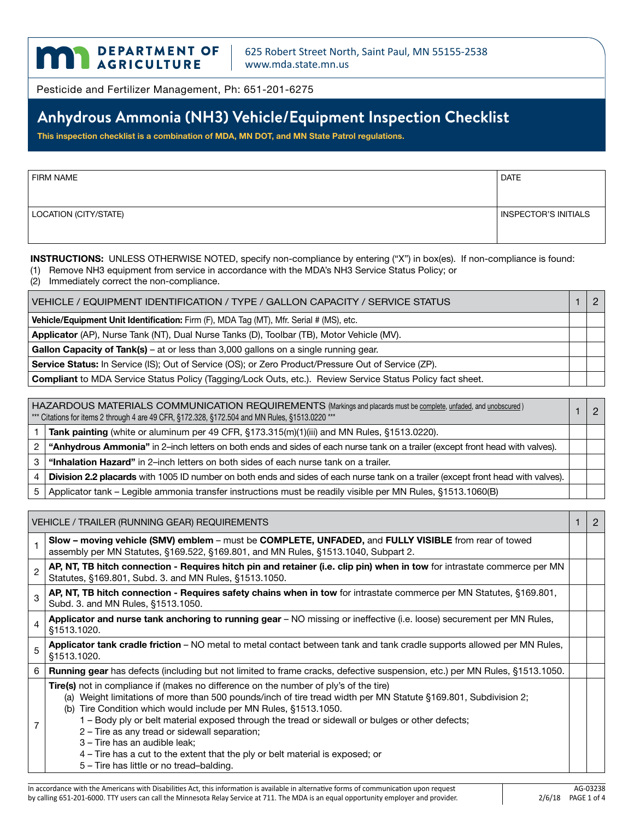

Pesticide and Fertilizer Management, Ph: 651-201-6275

# **Anhydrous Ammonia (NH3) Vehicle/Equipment Inspection Checklist**

**This inspection checklist is a combination of MDA, MN DOT, and MN State Patrol regulations.**

| <b>FIRM NAME</b>      | <b>DATE</b>          |
|-----------------------|----------------------|
|                       |                      |
| LOCATION (CITY/STATE) | INSPECTOR'S INITIALS |
|                       |                      |

**INSTRUCTIONS:** UNLESS OTHERWISE NOTED, specify non-compliance by entering ("X") in box(es). If non-compliance is found:

(1) Remove NH3 equipment from service in accordance with the MDA's NH3 Service Status Policy; or

(2) Immediately correct the non-compliance.

| VEHICLE / EQUIPMENT IDENTIFICATION / TYPE / GALLON CAPACITY / SERVICE STATUS                               |  |  |
|------------------------------------------------------------------------------------------------------------|--|--|
| <b>Vehicle/Equipment Unit Identification:</b> Firm (F), MDA Tag (MT), Mfr. Serial # (MS), etc.             |  |  |
| Applicator (AP), Nurse Tank (NT), Dual Nurse Tanks (D), Toolbar (TB), Motor Vehicle (MV).                  |  |  |
| Gallon Capacity of Tank(s) – at or less than 3,000 gallons on a single running gear.                       |  |  |
| Service Status: In Service (IS); Out of Service (OS); or Zero Product/Pressure Out of Service (ZP).        |  |  |
| Compliant to MDA Service Status Policy (Tagging/Lock Outs, etc.). Review Service Status Policy fact sheet. |  |  |

|                | HAZARDOUS MATERIALS COMMUNICATION REQUIREMENTS (Markings and placards must be complete, unfaded, and unobscured)<br>*** Citations for items 2 through 4 are 49 CFR, §172.328, §172.504 and MN Rules, §1513.0220 *** |  |
|----------------|---------------------------------------------------------------------------------------------------------------------------------------------------------------------------------------------------------------------|--|
|                | Tank painting (white or aluminum per 49 CFR, §173.315(m)(1)(iii) and MN Rules, §1513.0220).                                                                                                                         |  |
| 2 <sup>1</sup> | "Anhydrous Ammonia" in 2-inch letters on both ends and sides of each nurse tank on a trailer (except front head with valves).                                                                                       |  |
|                | "Inhalation Hazard" in 2-inch letters on both sides of each nurse tank on a trailer.                                                                                                                                |  |
|                | Division 2.2 placards with 1005 ID number on both ends and sides of each nurse tank on a trailer (except front head with valves).                                                                                   |  |
|                | Applicator tank – Legible ammonia transfer instructions must be readily visible per MN Rules, §1513.1060(B)                                                                                                         |  |

| VEHICLE / TRAILER (RUNNING GEAR) REQUIREMENTS |                                                                                                                                                                                                                                                                                                                                                                                                                                                                                                                                                                                                            | 2 |
|-----------------------------------------------|------------------------------------------------------------------------------------------------------------------------------------------------------------------------------------------------------------------------------------------------------------------------------------------------------------------------------------------------------------------------------------------------------------------------------------------------------------------------------------------------------------------------------------------------------------------------------------------------------------|---|
|                                               | Slow – moving vehicle (SMV) emblem – must be COMPLETE, UNFADED, and FULLY VISIBLE from rear of towed<br>assembly per MN Statutes, §169.522, §169.801, and MN Rules, §1513.1040, Subpart 2.                                                                                                                                                                                                                                                                                                                                                                                                                 |   |
| 2                                             | AP, NT, TB hitch connection - Requires hitch pin and retainer (i.e. clip pin) when in tow for intrastate commerce per MN<br>Statutes, §169.801, Subd. 3. and MN Rules, §1513.1050.                                                                                                                                                                                                                                                                                                                                                                                                                         |   |
| 3                                             | AP, NT, TB hitch connection - Requires safety chains when in tow for intrastate commerce per MN Statutes, §169.801,<br>Subd. 3. and MN Rules, §1513.1050.                                                                                                                                                                                                                                                                                                                                                                                                                                                  |   |
| 4                                             | Applicator and nurse tank anchoring to running gear - NO missing or ineffective (i.e. loose) securement per MN Rules,<br>\$1513.1020.                                                                                                                                                                                                                                                                                                                                                                                                                                                                      |   |
| 5                                             | Applicator tank cradle friction - NO metal to metal contact between tank and tank cradle supports allowed per MN Rules,<br>§1513.1020.                                                                                                                                                                                                                                                                                                                                                                                                                                                                     |   |
| 6                                             | <b>Running gear</b> has defects (including but not limited to frame cracks, defective suspension, etc.) per MN Rules, §1513.1050.                                                                                                                                                                                                                                                                                                                                                                                                                                                                          |   |
|                                               | <b>Tire(s)</b> not in compliance if (makes no difference on the number of ply's of the tire)<br>(a) Weight limitations of more than 500 pounds/inch of tire tread width per MN Statute §169.801, Subdivision 2;<br>Tire Condition which would include per MN Rules, §1513.1050.<br>(b)<br>1 – Body ply or belt material exposed through the tread or sidewall or bulges or other defects;<br>2 – Tire as any tread or sidewall separation;<br>3 - Tire has an audible leak;<br>$4$ – Tire has a cut to the extent that the ply or belt material is exposed; or<br>5 - Tire has little or no tread-balding. |   |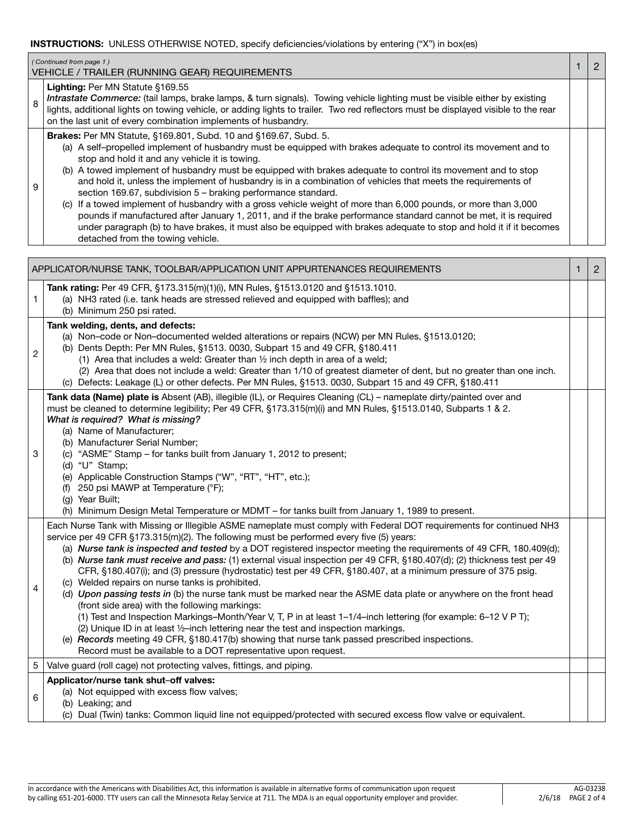### **INSTRUCTIONS:** UNLESS OTHERWISE NOTED, specify deficiencies/violations by entering ("X") in box(es)

|                                                                                              | (Continued from page 1)<br>VEHICLE / TRAILER (RUNNING GEAR) REQUIREMENTS                                                                                                                                                                                                                                                                                                                                                                                                                                                                                                                                                                                                                                                                                                                                                                                                                                                                     |  | $\overline{2}$ |
|----------------------------------------------------------------------------------------------|----------------------------------------------------------------------------------------------------------------------------------------------------------------------------------------------------------------------------------------------------------------------------------------------------------------------------------------------------------------------------------------------------------------------------------------------------------------------------------------------------------------------------------------------------------------------------------------------------------------------------------------------------------------------------------------------------------------------------------------------------------------------------------------------------------------------------------------------------------------------------------------------------------------------------------------------|--|----------------|
| 8                                                                                            | Lighting: Per MN Statute §169.55<br>Intrastate Commerce: (tail lamps, brake lamps, & turn signals). Towing vehicle lighting must be visible either by existing<br>lights, additional lights on towing vehicle, or adding lights to trailer. Two red reflectors must be displayed visible to the rear<br>on the last unit of every combination implements of husbandry.                                                                                                                                                                                                                                                                                                                                                                                                                                                                                                                                                                       |  |                |
| 9                                                                                            | Brakes: Per MN Statute, §169.801, Subd. 10 and §169.67, Subd. 5.<br>(a) A self-propelled implement of husbandry must be equipped with brakes adequate to control its movement and to<br>stop and hold it and any vehicle it is towing.<br>(b) A towed implement of husbandry must be equipped with brakes adequate to control its movement and to stop<br>and hold it, unless the implement of husbandry is in a combination of vehicles that meets the requirements of<br>section 169.67, subdivision 5 - braking performance standard.<br>(c) If a towed implement of husbandry with a gross vehicle weight of more than 6,000 pounds, or more than 3,000<br>pounds if manufactured after January 1, 2011, and if the brake performance standard cannot be met, it is required<br>under paragraph (b) to have brakes, it must also be equipped with brakes adequate to stop and hold it if it becomes<br>detached from the towing vehicle. |  |                |
| $\overline{2}$<br>APPLICATOR/NURSE TANK, TOOLBAR/APPLICATION UNIT APPURTENANCES REQUIREMENTS |                                                                                                                                                                                                                                                                                                                                                                                                                                                                                                                                                                                                                                                                                                                                                                                                                                                                                                                                              |  |                |
|                                                                                              | Tank rating: Per 49 CFR, §173.315(m)(1)(i), MN Rules, §1513.0120 and §1513.1010.<br>(a) NH3 rated (i.e. tank heads are stressed relieved and equipped with baffles); and<br>(b) Minimum 250 psi rated.                                                                                                                                                                                                                                                                                                                                                                                                                                                                                                                                                                                                                                                                                                                                       |  |                |
| 2                                                                                            | Tank welding, dents, and defects:<br>(a) Non-code or Non-documented welded alterations or repairs (NCW) per MN Rules, §1513.0120;<br>(b) Dents Depth: Per MN Rules, §1513. 0030, Subpart 15 and 49 CFR, §180.411<br>(1) Area that includes a weld: Greater than $\frac{1}{2}$ inch depth in area of a weld;<br>(2) Area that does not include a weld: Greater than 1/10 of greatest diameter of dent, but no greater than one inch.<br>(c) Defects: Leakage (L) or other defects. Per MN Rules, §1513, 0030, Subpart 15 and 49 CFR, §180.411                                                                                                                                                                                                                                                                                                                                                                                                 |  |                |

| Tank data (Name) plate is Absent (AB), illegible (IL), or Requires Cleaning (CL) – nameplate dirty/painted over and |  |
|---------------------------------------------------------------------------------------------------------------------|--|
|                                                                                                                     |  |
| must be cleaned to determine legibility; Per 49 CFR, §173.315(m)(i) and MN Rules, §1513.0140, Subparts 1 & 2.       |  |
| What is required? What is missing?                                                                                  |  |

(a) Name of Manufacturer;

- (b) Manufacturer Serial Number; (c) "ASME" Stamp – for tanks built from January 1, 2012 to present;
- - (d) "U" Stamp;

3

4

6

- (e) Applicable Construction Stamps ("W", "RT", "HT", etc.);
- (f) 250 psi MAWP at Temperature (°F);
- (g) Year Built;

(h) Minimum Design Metal Temperature or MDMT – for tanks built from January 1, 1989 to present.

Each Nurse Tank with Missing or Illegible ASME nameplate must comply with Federal DOT requirements for continued NH3 service per 49 CFR §173.315(m)(2). The following must be performed every five (5) years:

(a) *Nurse tank is inspected and tested* by a DOT registered inspector meeting the requirements of 49 CFR, 180.409(d); (b) *Nurse tank must receive and pass:* (1) external visual inspection per 49 CFR, §180.407(d); (2) thickness test per 49

CFR, §180.407(i); and (3) pressure (hydrostatic) test per 49 CFR, §180.407, at a minimum pressure of 375 psig. (c) Welded repairs on nurse tanks is prohibited. (d) *Upon passing tests in* (b) the nurse tank must be marked near the ASME data plate or anywhere on the front head

- (front side area) with the following markings:
	- (1) Test and Inspection Markings–Month/Year V, T, P in at least 1–1/4–inch lettering (for example: 6–12 V P T);
	- (2) Unique ID in at least ½–inch lettering near the test and inspection markings.
	- (e) *Records* meeting 49 CFR, §180.417(b) showing that nurse tank passed prescribed inspections.
	- Record must be available to a DOT representative upon request.

### 5 Valve guard (roll cage) not protecting valves, fittings, and piping. **Applicator/nurse tank shut**–**off valves:**

## (a) Not equipped with excess flow valves;

- (b) Leaking; and
	- (c) Dual (Twin) tanks: Common liquid line not equipped/protected with secured excess flow valve or equivalent.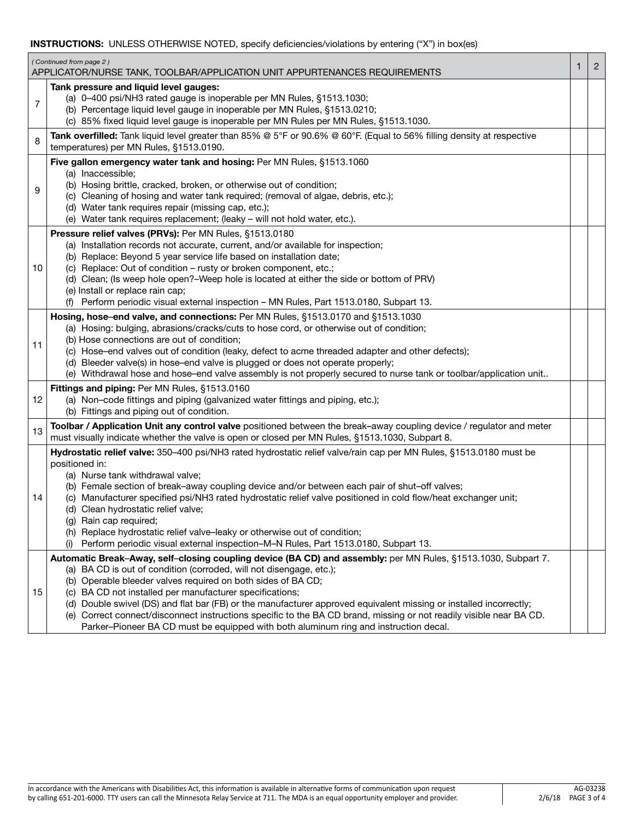### **INSTRUCTIONS:** UNLESS OTHERWISE NOTED, specify deficiencies/violations by entering ("X") in box(es)

|    | (Continued from page 2)<br>APPLICATOR/NURSE TANK, TOOLBAR/APPLICATION UNIT APPURTENANCES REQUIREMENTS                                                                                                                                                                                                                                                                                                                                                                                                                                                                                                                                                 | 1 | $\overline{2}$ |
|----|-------------------------------------------------------------------------------------------------------------------------------------------------------------------------------------------------------------------------------------------------------------------------------------------------------------------------------------------------------------------------------------------------------------------------------------------------------------------------------------------------------------------------------------------------------------------------------------------------------------------------------------------------------|---|----------------|
| 7  | Tank pressure and liquid level gauges:<br>(a) 0-400 psi/NH3 rated gauge is inoperable per MN Rules, §1513.1030;<br>(b) Percentage liquid level gauge in inoperable per MN Rules, §1513.0210;<br>(c) 85% fixed liquid level gauge is inoperable per MN Rules per MN Rules, §1513.1030.                                                                                                                                                                                                                                                                                                                                                                 |   |                |
| 8  | Tank overfilled: Tank liquid level greater than 85% @ 5°F or 90.6% @ 60°F. (Equal to 56% filling density at respective<br>temperatures) per MN Rules, §1513.0190.                                                                                                                                                                                                                                                                                                                                                                                                                                                                                     |   |                |
| 9  | Five gallon emergency water tank and hosing: Per MN Rules, §1513.1060<br>(a) Inaccessible;<br>(b) Hosing brittle, cracked, broken, or otherwise out of condition;<br>(c) Cleaning of hosing and water tank required; (removal of algae, debris, etc.);<br>(d) Water tank requires repair (missing cap, etc.);<br>(e) Water tank requires replacement; (leaky - will not hold water, etc.).                                                                                                                                                                                                                                                            |   |                |
| 10 | <b>Pressure relief valves (PRVs):</b> Per MN Rules, §1513.0180<br>(a) Installation records not accurate, current, and/or available for inspection;<br>(b) Replace: Beyond 5 year service life based on installation date;<br>(c) Replace: Out of condition - rusty or broken component, etc.;<br>(d) Clean; (Is weep hole open?-Weep hole is located at either the side or bottom of PRV)<br>(e) Install or replace rain cap;<br>(f) Perform periodic visual external inspection - MN Rules, Part 1513.0180, Subpart 13.                                                                                                                              |   |                |
| 11 | Hosing, hose-end valve, and connections: Per MN Rules, §1513.0170 and §1513.1030<br>(a) Hosing: bulging, abrasions/cracks/cuts to hose cord, or otherwise out of condition;<br>(b) Hose connections are out of condition;<br>(c) Hose-end valves out of condition (leaky, defect to acme threaded adapter and other defects);<br>(d) Bleeder valve(s) in hose-end valve is plugged or does not operate properly;<br>(e) Withdrawal hose and hose-end valve assembly is not properly secured to nurse tank or toolbar/application unit                                                                                                                 |   |                |
| 12 | Fittings and piping: Per MN Rules, §1513.0160<br>(a) Non-code fittings and piping (galvanized water fittings and piping, etc.);<br>(b) Fittings and piping out of condition.                                                                                                                                                                                                                                                                                                                                                                                                                                                                          |   |                |
| 13 | Toolbar / Application Unit any control valve positioned between the break-away coupling device / regulator and meter<br>must visually indicate whether the valve is open or closed per MN Rules, §1513.1030, Subpart 8.                                                                                                                                                                                                                                                                                                                                                                                                                               |   |                |
| 14 | Hydrostatic relief valve: 350-400 psi/NH3 rated hydrostatic relief valve/rain cap per MN Rules, §1513.0180 must be<br>positioned in:<br>(a) Nurse tank withdrawal valve;<br>(b) Female section of break-away coupling device and/or between each pair of shut-off valves;<br>(c) Manufacturer specified psi/NH3 rated hydrostatic relief valve positioned in cold flow/heat exchanger unit;<br>(d) Clean hydrostatic relief valve;<br>(g) Rain cap required;<br>(h) Replace hydrostatic relief valve-leaky or otherwise out of condition;<br>Perform periodic visual external inspection-M-N Rules, Part 1513.0180, Subpart 13.<br>(i)                |   |                |
| 15 | Automatic Break-Away, self-closing coupling device (BA CD) and assembly: per MN Rules, §1513.1030, Subpart 7.<br>(a) BA CD is out of condition (corroded, will not disengage, etc.);<br>(b) Operable bleeder valves required on both sides of BA CD;<br>(c) BA CD not installed per manufacturer specifications;<br>(d) Double swivel (DS) and flat bar (FB) or the manufacturer approved equivalent missing or installed incorrectly;<br>(e) Correct connect/disconnect instructions specific to the BA CD brand, missing or not readily visible near BA CD.<br>Parker-Pioneer BA CD must be equipped with both aluminum ring and instruction decal. |   |                |